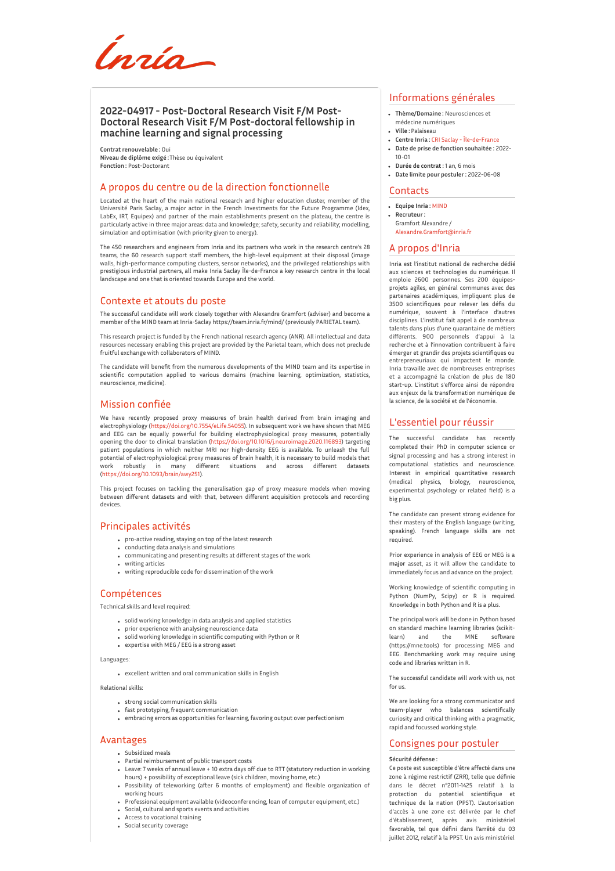Ínría

# **2022-04917 - Post-Doctoral Research Visit F/M Post-Doctoral Research Visit F/M Post-doctoral fellowship in machine learning and signal processing**

**Contrat renouvelable :** Oui **Niveau de diplôme exigé :**Thèse ou équivalent **Fonction :** Post-Doctorant

## A propos du centre ou de la direction fonctionnelle

Located at the heart of the main national research and higher education cluster, member of the Université Paris Saclay, a major actor in the French Investments for the Future Programme (Idex, LabEx, IRT, Equipex) and partner of the main establishments present on the plateau, the centre is particularly active in three major areas: data and knowledge; safety, security and reliability; modelling, simulation and optimisation (with priority given to energy).

The 450 researchers and engineers from Inria and its partners who work in the research centre's 28 teams, the 60 research support staff members, the high-level equipment at their disposal (image walls, high-performance computing clusters, sensor networks), and the privileged relationships with prestigious industrial partners, all make Inria Saclay Île-de-France a key research centre in the local landscape and one that is oriented towards Europe and the world.

## Contexte et atouts du poste

The successful candidate will work closely together with Alexandre Gramfort (adviser) and become a member of the MIND team at Inria-Saclay https://team.inria.fr/mind/ (previously PARIETAL team).

This research project is funded by the French national research agency (ANR). All intellectual and data resources necessary enabling this project are provided by the Parietal team, which does not preclude fruitful exchange with collaborators of MIND.

The candidate will benefit from the numerous developments of the MIND team and its expertise in scientific computation applied to various domains (machine learning, optimization, statistics, neuroscience, medicine).

# Mission confiée

We have recently proposed proxy measures of brain health derived from brain imaging and electrophysiology (<https://doi.org/10.7554/eLife.54055>). In subsequent work we have shown that MEG and EEG can be equally powerful for building electrophysiological proxy measures, potentially opening the door to clinical translation [\(https://doi.org/10.1016/j.neuroimage.2020.116893](https://doi.org/10.1016/j.neuroimage.2020.116893)) targeting patient populations in which neither MRI nor high-density EEG is available. To unleash the full potential of electrophysiological proxy measures of brain health, it is necessary to build models that work robustly in many different situations and across different datasets [\(https://doi.org/10.1093/brain/awy251](https://doi.org/10.1093/brain/awy251)).

This project focuses on tackling the generalisation gap of proxy measure models when moving between different datasets and with that, between different acquisition protocols and recording devices.

### Principales activités

- pro-active reading, staying on top of the latest research
- conducting data analysis and simulations
- communicating and presenting results at different stages of the work writing articles
- writing reproducible code for dissemination of the work

# Compétences

Technical skills and level required:

- solid working knowledge in data analysis and applied statistics
- prior experience with analysing neuroscience data
- solid working knowledge in scientific computing with Python or R expertise with MEG / EEG is a strong asset
- 

Languages:

excellent written and oral communication skills in English

Relational skills:

- strong social communication skills
- fast prototyping, frequent communication
- embracing errors as opportunities for learning, favoring output over perfectionism

## Avantages

- Subsidized meals
- Partial reimbursement of public transport costs
- Leave: 7 weeks of annual leave + 10 extra days off due to RTT (statutory reduction in working hours) + possibility of exceptional leave (sick children, moving home, etc.)
- Possibility of teleworking (aFer 6 months of employment) and flexible organization of working hours
- Professional equipment available (videoconferencing, loan of computer equipment, etc.)
- Social, cultural and sports events and activities Access to vocational training
- Social security coverage

## Informations générales

- **Thème/Domaine :** Neurosciences et médecine numériques
- **Ville :** Palaiseau
- **Centre Inria :** CRI Saclay [Île-de-France](http://www.inria.fr/centre/saclay)
- **Date de prise de fonction souhaitée :** 2022- 10-01
- **Durée de contrat :** 1 an, 6 mois
- **Date limite pour postuler :** 2022-06-08

#### **Contacts**

- **Equipe Inria :** [MIND](https://www.inria.fr/equipes/MIND)
- **Recruteur :** Gramfort Alexandre / [Alexandre.Gramfort@inria.fr](mailto:Alexandre.Gramfort@inria.fr)

#### A propos d'Inria

Inria est l'institut national de recherche dédié aux sciences et technologies du numérique. Il emploie 2600 personnes. Ses 200 équipesprojets agiles, en général communes avec des partenaires académiques, impliquent plus de 3500 scientifiques pour relever les défis du numérique, souvent à l'interface d'autres disciplines. L'institut fait appel à de nombreux talents dans plus d'une quarantaine de métiers différents. 900 personnels d'appui à la recherche et à l'innovation contribuent à faire émerger et grandir des projets scientifiques ou entrepreneuriaux qui impactent le monde. Inria travaille avec de nombreuses entreprises et a accompagné la création de plus de 180 start-up. L'institut s'efforce ainsi de répondre aux enjeux de la transformation numérique de la science, de la société et de l'économie.

### L'essentiel pour réussir

The successful candidate has recently completed their PhD in computer science or signal processing and has a strong interest in computational statistics and neuroscience. Interest in empirical quantitative research (medical physics, biology, neuroscience, experimental psychology or related field) is a big plus.

The candidate can present strong evidence for their mastery of the English language (writing, speaking). French language skills are not required.

Prior experience in analysis of EEG or MEG is a **major** asset, as it will allow the candidate to immediately focus and advance on the project.

Working knowledge of scientific computing in Python (NumPy, Scipy) or R is required. Knowledge in both Python and R is a plus.

The principal work will be done in Python based on standard machine learning libraries (scikitlearn) and the MNE soFware (https://mne.tools) for processing MEG and EEG. Benchmarking work may require using code and libraries written in R.

The successful candidate will work with us, not for us.

We are looking for a strong communicator and team-player who balances scientifically curiosity and critical thinking with a pragmatic, rapid and focussed working style.

#### Consignes pour postuler

#### **Sécurité défense :**

Ce poste est susceptible d'être affecté dans une zone à régime restrictif (ZRR), telle que définie dans le décret n°2011-1425 relatif à la protection du potentiel scientifique et technique de la nation (PPST). L'autorisation d'accès à une zone est délivrée par le chef d'établissement, après avis ministériel favorable, tel que défini dans l'arrêté du 03 juillet 2012, relatif à la PPST. Un avis ministériel